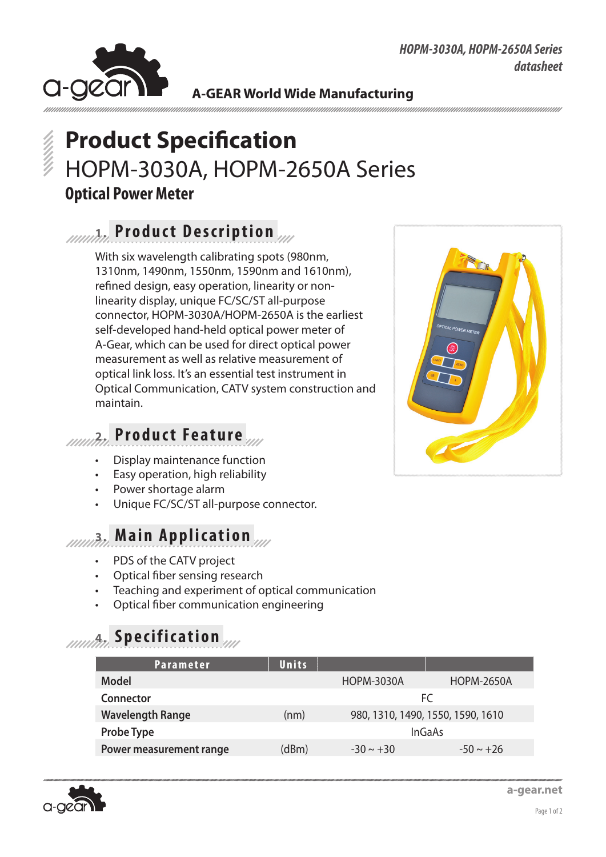#### *HOPM-3030A, HOPM-2650A Series datasheet*



**A-GEAR World Wide Manufacturing**

# **Product Specification** HOPM-3030A, HOPM-2650A Series **Optical Power Meter**

## **1. Product Description**

With six wavelength calibrating spots (980nm, 1310nm, 1490nm, 1550nm, 1590nm and 1610nm), refined design, easy operation, linearity or nonlinearity display, unique FC/SC/ST all-purpose connector, HOPM-3030A/HOPM-2650A is the earliest self-developed hand-held optical power meter of A-Gear, which can be used for direct optical power measurement as well as relative measurement of optical link loss. It's an essential test instrument in Optical Communication, CATV system construction and maintain.



## **2. Product Feature**

- Display maintenance function
- Easy operation, high reliability
- Power shortage alarm
- Unique FC/SC/ST all-purpose connector.

#### **3. Main Application**

- PDS of the CATV project
- Optical fiber sensing research
- Teaching and experiment of optical communication
- Optical fiber communication engineering

## **4. Specification**

| Parameter               | Units |                   |                                   |
|-------------------------|-------|-------------------|-----------------------------------|
| Model                   |       | <b>HOPM-3030A</b> | <b>HOPM-2650A</b>                 |
| Connector               |       | FC                |                                   |
| <b>Wavelength Range</b> | (nm)  |                   | 980, 1310, 1490, 1550, 1590, 1610 |
| <b>Probe Type</b>       |       | <b>InGaAs</b>     |                                   |
| Power measurement range | (dBm) | $-30 \sim +30$    | $-50 \sim +26$                    |